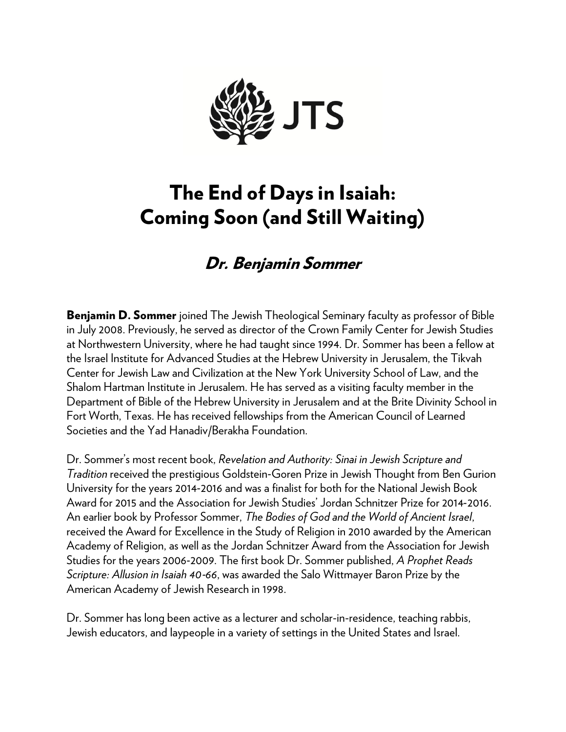

## The End of Days in Isaiah: Coming Soon (and Still Waiting)

## Dr. Benjamin Sommer

**Benjamin D. Sommer** joined The Jewish Theological Seminary faculty as professor of Bible in July 2008. Previously, he served as director of the Crown Family Center for Jewish Studies at Northwestern University, where he had taught since 1994. Dr. Sommer has been a fellow at the Israel Institute for Advanced Studies at the Hebrew University in Jerusalem, the Tikvah Center for Jewish Law and Civilization at the New York University School of Law, and the Shalom Hartman Institute in Jerusalem. He has served as a visiting faculty member in the Department of Bible of the Hebrew University in Jerusalem and at the Brite Divinity School in Fort Worth, Texas. He has received fellowships from the American Council of Learned Societies and the Yad Hanadiv/Berakha Foundation.

Dr. Sommer's most recent book, *Revelation and Authority: Sinai in Jewish Scripture and Tradition* received the prestigious Goldstein‐Goren Prize in Jewish Thought from Ben Gurion University for the years 2014‐2016 and was a finalist for both for the National Jewish Book Award for 2015 and the Association for Jewish Studies' Jordan Schnitzer Prize for 2014‐2016. An earlier book by Professor Sommer, *The Bodies of God and the World of Ancient Israel*, received the Award for Excellence in the Study of Religion in 2010 awarded by the American Academy of Religion, as well as the Jordan Schnitzer Award from the Association for Jewish Studies for the years 2006‐2009. The first book Dr. Sommer published, *A Prophet Reads Scripture: Allusion in Isaiah 40*‐*66*, was awarded the Salo Wittmayer Baron Prize by the American Academy of Jewish Research in 1998.

Dr. Sommer has long been active as a lecturer and scholar-in-residence, teaching rabbis, Jewish educators, and laypeople in a variety of settings in the United States and Israel.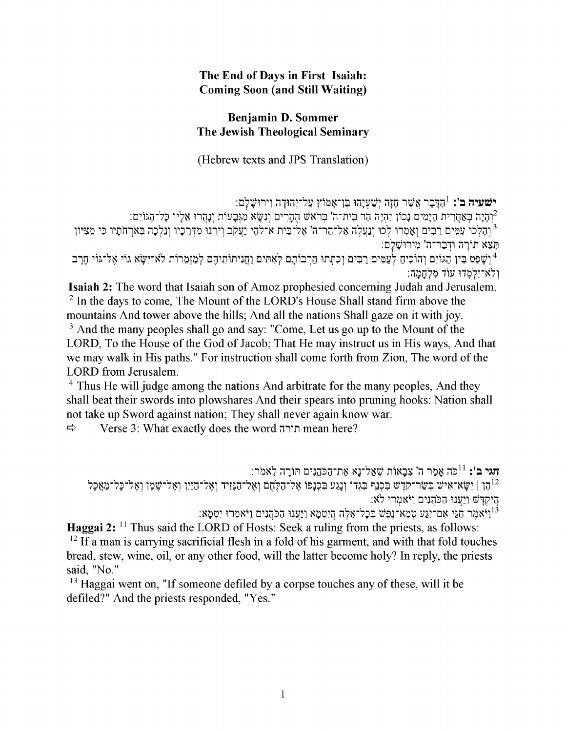## The End of Days in First Isaiah: **Coming Soon (and Still Waiting)**

## Benjamin D. Sommer The Jewish Theological Seminary

(Hebrew texts and JPS Translation)

ישׁעיה ב': <sup>1</sup>הַדְּבָר אֲשֶׁר חָזָה יְשַׁעְיָהוּ בֶּן־אָמוֹץ עַל־יְהוּדָה וִירוּשָׁלָם:

.<br>רוחניה באחרית הימים נכון יהיה הר בית־ה' בראש ההרים ונשא מגבעות ונהרו אליו כל־הגוים: י.<br><sup>3</sup> וְהַלְכוּ עַמִּים רַבִּים וְאָמְרוּ לְכוּ וְנַעֲלֶה אֶל־הַר־ה' אֶל־בֵית א־לֹהֶי יַעֲקֹב וְיֹרֵנוּ מִדְּרַכְיו וְנֵלְכָה בְּאֹרְחֹתַיו כִּי מִצְיּוֹן תֵּצֵא תוֹרַה וּדְבָר־ה' מִירוּשָׁלַם:

יְשָׁפַט בֵּין הַגּוֹיִם וְהוֹכִיחַ לְעַמִּים רַבִּים וְכִתְּתוּ חַרְבוֹתָם לְאָתִּים וַחֲנִיתוֹתֵיהֶם לְמַזְמֶרוֹת לֹא־יִשָּׂא גוֹי אֱל־גּוֹי חֶרֶב ולא־יִלְמְדוּ עוֹד מְלְחָמַה:

**Isaiah 2:** The word that Isaiah son of Amoz prophesied concerning Judah and Jerusalem. <sup>2</sup> In the days to come, The Mount of the LORD's House Shall stand firm above the mountains And tower above the hills; And all the nations Shall gaze on it with joy.

<sup>3</sup> And the many peoples shall go and say: "Come, Let us go up to the Mount of the LORD, To the House of the God of Jacob; That He may instruct us in His ways, And that we may walk in His paths." For instruction shall come forth from Zion, The word of the LORD from Jerusalem.

<sup>4</sup> Thus He will judge among the nations And arbitrate for the many peoples, And they shall beat their swords into plowshares And their spears into pruning hooks: Nation shall not take up Sword against nation; They shall never again know war.

 $\Rightarrow$ Verse 3: What exactly does the word תורה mean here?

.<br>הגי ב': <sup>11</sup>כֹּה אֲמֵר ה' צִבָאוֹת שָׁאֲל־נָא אֶת־הַכֹּהֲנִים תּוֹרָה לֵאמֹר נהן | יִשָּא־אִישׁ בִּשַּׂר־קֹרָשׁ בִּכְנַף בִּגְדוֹ וְנָגַע בִּכְנָפוֹ אֶל־הַלֶּחֶם וְאֵל־הַנָּזִיד וְאֵל־הַיַיִן וְאֵל־שֶׁמֶן וְאֶל־כָּל־מַאֲכָל הַיִקְדָּשׁ וַיַּעֲנוּ הַכֹּהֲנִים וַיֹּאמִרוּ לֹא:

וַיֹּאמֶר חַגַּי אַם־יִגַּע טְמֵא־נֶפֶשׁ בְּכָל־אֵלֶה הַיִטְמָא וַיַּעֲנוּ הַכֹּהֲנִים וַיֹּאמְרוּ יִטְמָא: '

Haggai 2: <sup>11</sup> Thus said the LORD of Hosts: Seek a ruling from the priests, as follows:  $^{12}$  If a man is carrying sacrificial flesh in a fold of his garment, and with that fold touches bread, stew, wine, oil, or any other food, will the latter become holy? In reply, the priests said, "No."

<sup>13</sup> Haggai went on, "If someone defiled by a corpse touches any of these, will it be defiled?" And the priests responded. "Yes."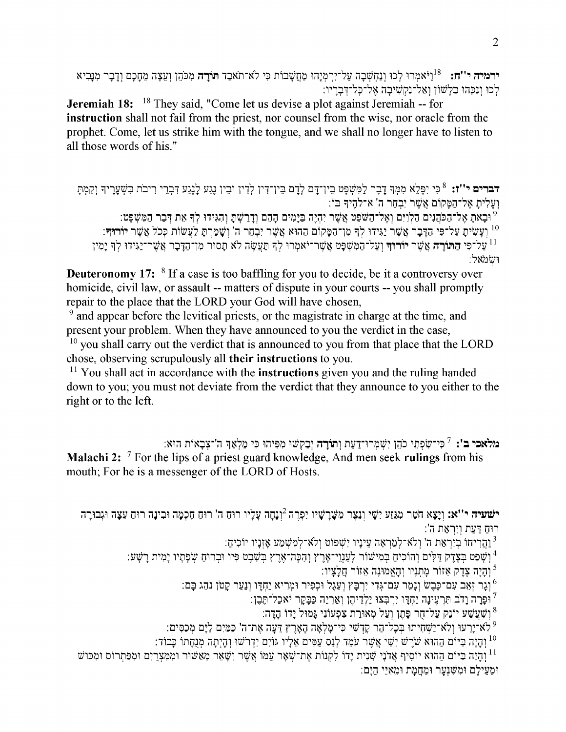ירמיה י''ח: <sup>18</sup>וַיֹּאמְרוּ לְכוּ וְנַחָשְׁבָה עַל־יִרְמְיָהוּ מַחֲשָׁבוֹת כִּי לֹא־תֹאבֵד תּוֹרָה מְכֹהֶן וְעֵצָה מֵחָכָם וְדָבָר מְנַבְיא לְכוּ וְנַכֵּהוּ בַלְשׁוֹן וְאֲל־נַקְשִׁיבָה אֱל־כָּל־דְּבַרֵיו:

**Jeremiah 18:** <sup>18</sup> They said, "Come let us devise a plot against Jeremiah -- for instruction shall not fail from the priest, nor counsel from the wise, nor oracle from the prophet. Come, let us strike him with the tongue, and we shall no longer have to listen to all those words of his."

דברים י''ז: <sup>8</sup> כִּי יִפְלֵא מִמְּךְ דָבָר לַמִּשְׁפָּט בֵין־דָּם לְדָם בֵין־דִּין לְדִין וּבֵין גָגַע לָנֶגַע דִּבְרֵי רִיבֹת בִּשְׁעָרֶיךְ וְקַמְתָּ וְעַלִיתַ אֱל־הַמַּקוֹם אֱשֶׁר יִבְחֵר ה' א־להֱיִדְּ בּוֹ: <sup>9</sup> וּבָאת אֵל־הַכֹּהֲנִים הַלְוָיִם וְאֵל־הַשֹּׁפֵט אֲשֶׁר יִהְיֵה בַּיָּמִים הָהֶם וְדַרַשְׁתָּ וְהִגִּידוּ לְךָ אֶת דְּבַר הַמְּשָׁפָּט: <sup>10</sup> וַעֲשִׂית עַל־פִּי הַדָּבָר אֲשֶׁר יַגִּידוּ לִךְ מִן־הַמַּקוֹם הַהוּא אֲשֶׁר יִבְחֵר ה' וְשָׁמַרְתַּ לַעֲשׂוֹת כְּכֹל אֲשֶׁר יוֹ**רוּ**ךָ: על־פִּי הַתּוֹרַה אֲשֶׁר יוֹרוּדִּ וְעַל־הַמְּשִׁפַּט אֲשֶׁר־יֹאמִרוּ לְדְּ תַּעֲשֶׂה לֹא תַסוּר מִן־הַדַּבַר אֲשֶׁר־יַגְּידוּ לִדְּ יַמְיו ושמאל:

**Deuteronomy 17:** <sup>8</sup> If a case is too baffling for you to decide, be it a controversy over homicide, civil law, or assault -- matters of dispute in your courts -- you shall promptly repair to the place that the LORD your God will have chosen,

<sup>9</sup> and appear before the levitical priests, or the magistrate in charge at the time, and present your problem. When they have announced to you the verdict in the case,

 $10$  you shall carry out the verdict that is announced to you from that place that the LORD chose, observing scrupulously all their instructions to you.

 $11$  You shall act in accordance with the **instructions** given you and the ruling handed down to you; you must not deviate from the verdict that they announce to you either to the right or to the left.

מלאכי ב': <sup>7</sup> כִּי־שִׂפְתֵי כֹהֵן יִשְׁמְרוּ־דָעַת וְתוֹרָה יָבַקְשׁוּ מִפְּיהוּ כִּי מַלְאַדְּ ה'־צָבָאוֹת הוּא: Malachi 2: <sup>7</sup> For the lips of a priest guard knowledge, And men seek rulings from his mouth; For he is a messenger of the LORD of Hosts.

ישעיה י''א: וַיַצָא חֹטֶר מְגֶזַע יִשָׁי וַנָּצֵר מִשַּׁרַשָּׁיו יִפְרֶה <sup>2</sup>וַנָחַה עַלֵיו רוּחַ ה' רוּחַ חַכְמַה וּבְינַה רוּחַ עֵצָה וּגִבוּרַה רוּחַ דַּעַת וְיִרְאַת ה':

וַהֲרִיחוֹ בִּיְרָאֲת ה' וְלֹא־לְמַרְאֶה עֵינָיו יִשְׁפּוֹט וְלֹא־לְמָשְׁמַע אָזְנָיו יוֹכִיחַ: 1

ן יָשְׁפַט בִּצָדֵק דַּלִּים וְהוֹכִיחַ בִּמִישׁוֹר לְעַנְוֵי־אָרֵץ וְהִכָּה־אֵרֵץ בִשֶׁבֵט פִּיו וּבְרוּחַ שִׂפָתָיו יָמִית רָשָׁע:

והיה צדק אזור מתניו והאמונה אזור חלציו:

וְגַר זָאָב עָם־כָּבֶשׂ וְנָמֶר עָם־גָּדִי יִרְבַּץ וְעָגֶל וּכְפִיר וּמְרִיא יַחָדֵּו וְנַעַר קַטֹן נֹהֶג בַּם: '

<sup>7</sup> וּפָרָה וַדֹב תִּרְעֵינָה יַחָדֵּו יִרְבְּצוּ יַלְדֵיהֶן וְאַרְיֵה כַּבָּקֶר יֹאכַל־תֵּבֶן:

וַשְׁעֲשָׁע יוֹנֵק עַל־חָר פָּתֵן וְעַל מְאוּרַת צִפְעוֹנִי גָּמוּל יָדוֹ הָדָה:  $^8$ 

<sup>9</sup> לא־יֵרֵעוּ וְלֹא־יַשָּׁחִיתוּ בִּכְלֹ־הֵר קֵדָּשִׁי כִּי־מַלְאָה הָאָרֵץ דֵעֲה אֶת־ה' כַּמֵּיִם לַיַּם מִכָּסִים:

וּ וַהָיִתָה הַיִּם הַהוּא שַׁרֵשׁ יִשֵּׁי אֲשֶׁר עֹמֵד לְנֵס עַמִּים אֲלָיו גּוֹיִם יִדְרֹשׁוּ וְהָיִתָה מְנֻחָתוֹ כָּבוֹד

וּ וְהֵיַה בַּיוֹם הַהוּא יוֹסִיף אֲדֹנַי שֶׁנִית יַדוֹ לְקְנוֹת אֶת־שָׁאָר עַמּוֹ אֵשֶׁר יִשָּׁאֵר מֲאַשּׁוּר וּמְמִצְרַיִם וּמִפַּתְרוֹס וּמְכּוּשׁ וּמֵעֵילַם וּמִשָּׁנָעַר וּמֶחֲמַת וּמֵאָיֵי הַיַּם: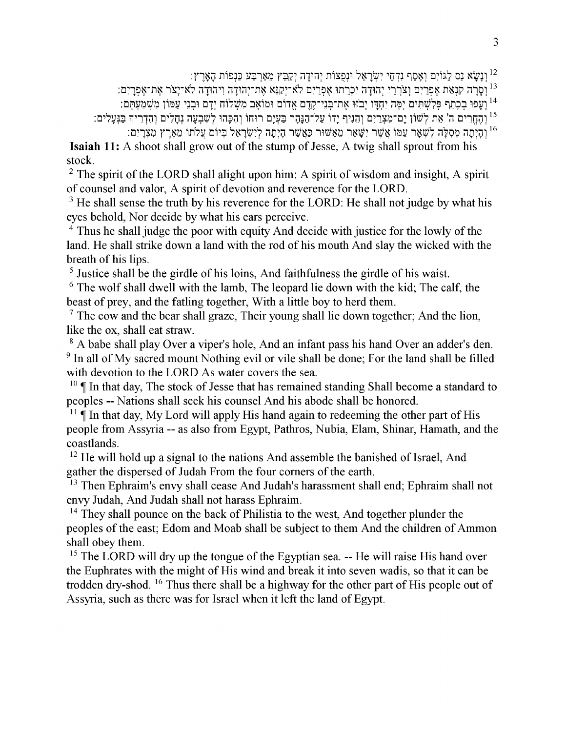וַנֲשֵׂא גֵס לֵגּוֹיִם וְאָסֵף נִדְחֵי יִשְׂרָאֵל וּנִפְצוֹת יִהוּדָה יְקַבֵּץ מֵאַרְבַּע כַּנְפוֹת הָאָרֶץ:

<sup>13</sup> וְסָרָה קִנְאַת אֵפְרַיִם וְצֹרְרֵי יְהוּדָה יִכְּרֵתוּ אֶפְרַיִם לֹא־יִקַנֵּא אֶת־יְהוּדָה וִיהוּדָה לֹא־יָצֹר אֶת־אֶפְרָיִם:

<sup>14</sup> וְעָפוּ בִכָּתֵף פִּלְשָׁתִּים יָמֶה יַחָדֵּו יָבֹזּוּ אֶת־בְּנֵי־קֵדֶם אֵדוֹם וּמוֹאָב מְשָׁלוֹח יָדָם וּבִנֵי עַמּוֹן מִשְׁמַעָתָּם:

<sup>15</sup> וְהֶחֱרִים ה' אֵת לְשׁוֹן יָם־מִצְרַיִם וְהֶנִיף יָדוֹ עַל־הַנָּהָר בַּעְיָם רוּחוֹ וְהִכְּהוּ לְשִׁבְעָה נְחָלִים וְהִדְרִיךְ בַּנְעָלִים:

וּהַיִתָה מִסְלָּה לְשָׁאָר עַמּוֹ אֲשֶׁר יִשָּׁאֵר מֵאֲשׁוּר כַּאֲשֵׁר הָיִתָה לְיִשְׂרָאֵל בִּיוֹם עֲלֹתוֹ מֵאֵרֵץ מִצְרַיִם: **Isaiah 11:** A shoot shall grow out of the stump of Jesse, A twig shall sprout from his stock.

<sup>2</sup> The spirit of the LORD shall alight upon him: A spirit of wisdom and insight, A spirit of counsel and valor. A spirit of devotion and reverence for the LORD.

<sup>3</sup> He shall sense the truth by his reverence for the LORD: He shall not judge by what his eyes behold. Nor decide by what his ears perceive.

<sup>4</sup> Thus he shall judge the poor with equity And decide with justice for the lowly of the land. He shall strike down a land with the rod of his mouth And slay the wicked with the breath of his lips.

<sup>5</sup> Justice shall be the girdle of his loins, And faithfulness the girdle of his waist.

 $6$  The wolf shall dwell with the lamb, The leopard lie down with the kid; The calf, the beast of prev, and the fatling together, With a little boy to herd them.

 $\frac{7}{7}$  The cow and the bear shall graze, Their young shall lie down together; And the lion, like the ox, shall eat straw.

<sup>8</sup> A babe shall play Over a viper's hole, And an infant pass his hand Over an adder's den. <sup>9</sup> In all of My sacred mount Nothing evil or vile shall be done; For the land shall be filled with devotion to the LORD As water covers the sea.

 $10 \n\text{ T}$  In that day, The stock of Jesse that has remained standing Shall become a standard to peoples -- Nations shall seek his counsel And his abode shall be honored.

 $11 \n\P$  In that day, My Lord will apply His hand again to redeeming the other part of His people from Assyria -- as also from Egypt, Pathros, Nubia, Elam, Shinar, Hamath, and the coastlands.

<sup>12</sup> He will hold up a signal to the nations And assemble the banished of Israel, And gather the dispersed of Judah From the four corners of the earth.

<sup>13</sup> Then Ephraim's envy shall cease And Judah's harassment shall end; Ephraim shall not envy Judah, And Judah shall not harass Ephraim.

<sup>14</sup> They shall pounce on the back of Philistia to the west, And together plunder the peoples of the east; Edom and Moab shall be subject to them And the children of Ammon shall obey them.

<sup>15</sup> The LORD will dry up the tongue of the Egyptian sea. -- He will raise His hand over the Euphrates with the might of His wind and break it into seven wadis, so that it can be trodden dry-shod. <sup>16</sup> Thus there shall be a highway for the other part of His people out of Assyria, such as there was for Israel when it left the land of Egypt.